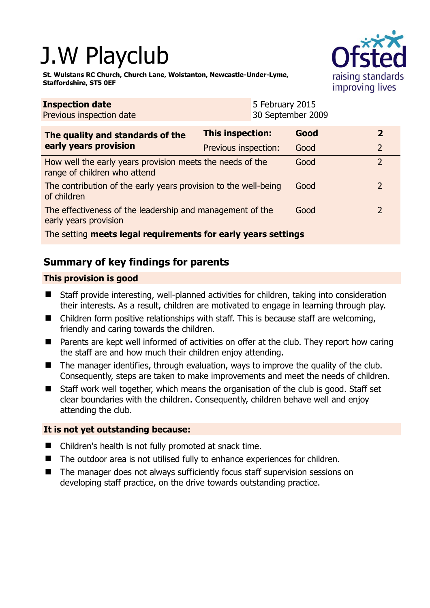# J.W Playclub

**St. Wulstans RC Church, Church Lane, Wolstanton, Newcastle-Under-Lyme, Staffordshire, ST5 0EF** 



| <b>Inspection date</b><br>Previous inspection date                                        |                         | 5 February 2015<br>30 September 2009 |      |                |  |
|-------------------------------------------------------------------------------------------|-------------------------|--------------------------------------|------|----------------|--|
| The quality and standards of the<br>early years provision                                 | <b>This inspection:</b> |                                      | Good |                |  |
|                                                                                           | Previous inspection:    |                                      | Good | $\overline{2}$ |  |
| How well the early years provision meets the needs of the<br>range of children who attend |                         |                                      | Good | $\overline{2}$ |  |
| The contribution of the early years provision to the well-being<br>of children            |                         |                                      | Good |                |  |
| The effectiveness of the leadership and management of the<br>early years provision        |                         |                                      | Good |                |  |
| The setting meets legal requirements for early years settings                             |                         |                                      |      |                |  |

# **Summary of key findings for parents**

## **This provision is good**

- Staff provide interesting, well-planned activities for children, taking into consideration their interests. As a result, children are motivated to engage in learning through play.
- Children form positive relationships with staff. This is because staff are welcoming, friendly and caring towards the children.
- Parents are kept well informed of activities on offer at the club. They report how caring the staff are and how much their children enjoy attending.
- $\blacksquare$  The manager identifies, through evaluation, ways to improve the quality of the club. Consequently, steps are taken to make improvements and meet the needs of children.
- Staff work well together, which means the organisation of the club is good. Staff set clear boundaries with the children. Consequently, children behave well and enjoy attending the club.

## **It is not yet outstanding because:**

- Children's health is not fully promoted at snack time.
- The outdoor area is not utilised fully to enhance experiences for children.
- The manager does not always sufficiently focus staff supervision sessions on developing staff practice, on the drive towards outstanding practice.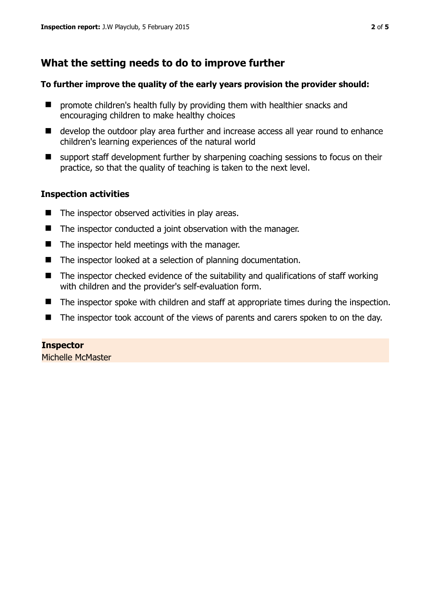## **What the setting needs to do to improve further**

#### **To further improve the quality of the early years provision the provider should:**

- **P** promote children's health fully by providing them with healthier snacks and encouraging children to make healthy choices
- develop the outdoor play area further and increase access all year round to enhance children's learning experiences of the natural world
- $\blacksquare$  support staff development further by sharpening coaching sessions to focus on their practice, so that the quality of teaching is taken to the next level.

### **Inspection activities**

- $\blacksquare$  The inspector observed activities in play areas.
- The inspector conducted a joint observation with the manager.
- $\blacksquare$  The inspector held meetings with the manager.
- The inspector looked at a selection of planning documentation.
- $\blacksquare$  The inspector checked evidence of the suitability and qualifications of staff working with children and the provider's self-evaluation form.
- The inspector spoke with children and staff at appropriate times during the inspection.
- The inspector took account of the views of parents and carers spoken to on the day.

# **Inspector**

Michelle McMaster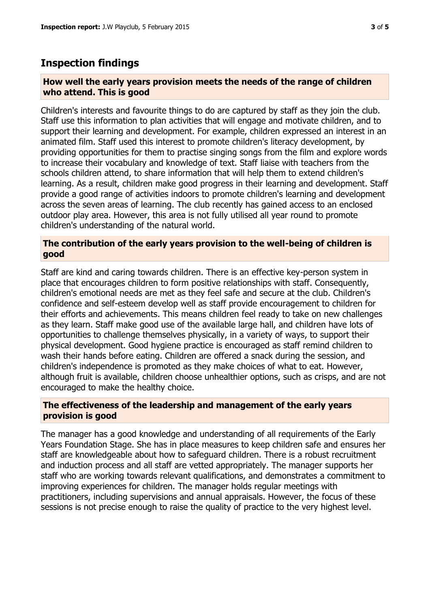## **Inspection findings**

#### **How well the early years provision meets the needs of the range of children who attend. This is good**

Children's interests and favourite things to do are captured by staff as they join the club. Staff use this information to plan activities that will engage and motivate children, and to support their learning and development. For example, children expressed an interest in an animated film. Staff used this interest to promote children's literacy development, by providing opportunities for them to practise singing songs from the film and explore words to increase their vocabulary and knowledge of text. Staff liaise with teachers from the schools children attend, to share information that will help them to extend children's learning. As a result, children make good progress in their learning and development. Staff provide a good range of activities indoors to promote children's learning and development across the seven areas of learning. The club recently has gained access to an enclosed outdoor play area. However, this area is not fully utilised all year round to promote children's understanding of the natural world.

#### **The contribution of the early years provision to the well-being of children is good**

Staff are kind and caring towards children. There is an effective key-person system in place that encourages children to form positive relationships with staff. Consequently, children's emotional needs are met as they feel safe and secure at the club. Children's confidence and self-esteem develop well as staff provide encouragement to children for their efforts and achievements. This means children feel ready to take on new challenges as they learn. Staff make good use of the available large hall, and children have lots of opportunities to challenge themselves physically, in a variety of ways, to support their physical development. Good hygiene practice is encouraged as staff remind children to wash their hands before eating. Children are offered a snack during the session, and children's independence is promoted as they make choices of what to eat. However, although fruit is available, children choose unhealthier options, such as crisps, and are not encouraged to make the healthy choice.

#### **The effectiveness of the leadership and management of the early years provision is good**

The manager has a good knowledge and understanding of all requirements of the Early Years Foundation Stage. She has in place measures to keep children safe and ensures her staff are knowledgeable about how to safeguard children. There is a robust recruitment and induction process and all staff are vetted appropriately. The manager supports her staff who are working towards relevant qualifications, and demonstrates a commitment to improving experiences for children. The manager holds regular meetings with practitioners, including supervisions and annual appraisals. However, the focus of these sessions is not precise enough to raise the quality of practice to the very highest level.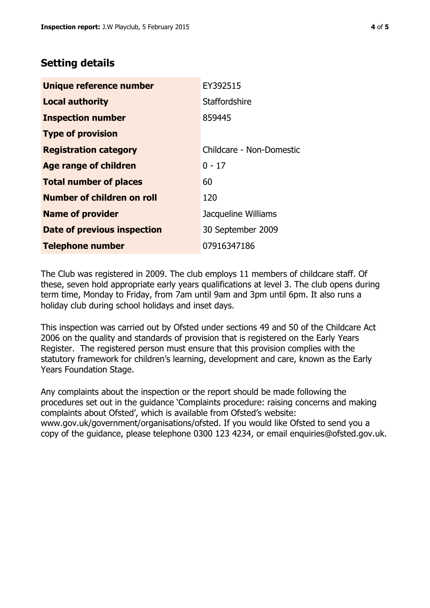## **Setting details**

| Unique reference number            | EY392515                 |  |
|------------------------------------|--------------------------|--|
| <b>Local authority</b>             | <b>Staffordshire</b>     |  |
| <b>Inspection number</b>           | 859445                   |  |
| <b>Type of provision</b>           |                          |  |
| <b>Registration category</b>       | Childcare - Non-Domestic |  |
| Age range of children              | $0 - 17$                 |  |
| <b>Total number of places</b>      | 60                       |  |
| Number of children on roll         | 120                      |  |
| <b>Name of provider</b>            | Jacqueline Williams      |  |
| <b>Date of previous inspection</b> | 30 September 2009        |  |
| <b>Telephone number</b>            | 07916347186              |  |

The Club was registered in 2009. The club employs 11 members of childcare staff. Of these, seven hold appropriate early years qualifications at level 3. The club opens during term time, Monday to Friday, from 7am until 9am and 3pm until 6pm. It also runs a holiday club during school holidays and inset days.

This inspection was carried out by Ofsted under sections 49 and 50 of the Childcare Act 2006 on the quality and standards of provision that is registered on the Early Years Register. The registered person must ensure that this provision complies with the statutory framework for children's learning, development and care, known as the Early Years Foundation Stage.

Any complaints about the inspection or the report should be made following the procedures set out in the guidance 'Complaints procedure: raising concerns and making complaints about Ofsted', which is available from Ofsted's website: www.gov.uk/government/organisations/ofsted. If you would like Ofsted to send you a copy of the guidance, please telephone 0300 123 4234, or email enquiries@ofsted.gov.uk.